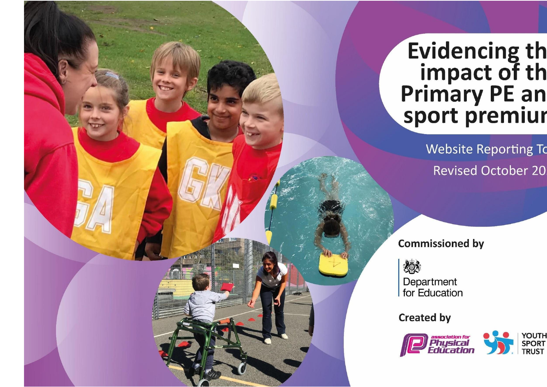## Evidencing th<br>
impact of th<br>
Primary PE an<br>
sport premiur

**Website Reporting To Revised October 20** 

## **Commissioned by**

热 Department for Education

**Created by** 

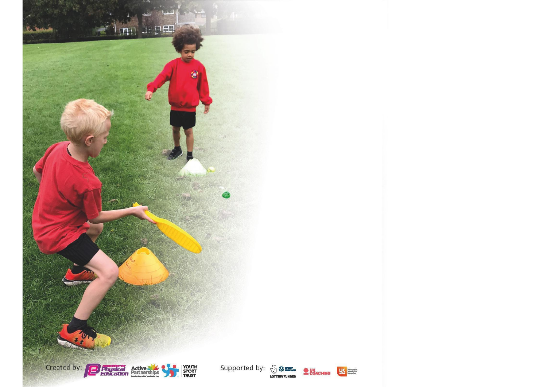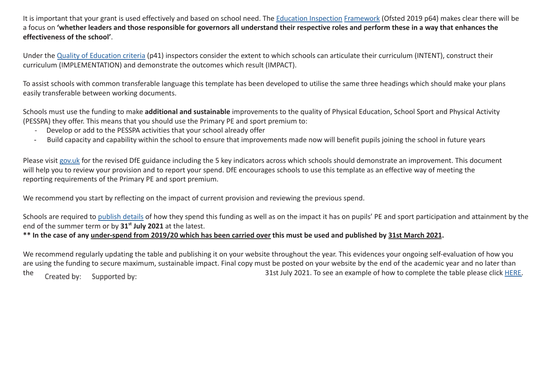It is important that your grant is used effectively and based on school need. The Education Inspection Framework (Ofsted 2019 p64) makes clear there will be a focus on **'whether leaders and those responsible for governors all understand their respective roles and perform these in a way that enhances the effectiveness of the school'**.

Under the Quality of Education criteria (p41) inspectors consider the extent to which schools can articulate their curriculum (INTENT), construct their curriculum (IMPLEMENTATION) and demonstrate the outcomes which result (IMPACT).

To assist schools with common transferable language this template has been developed to utilise the same three headings which should make your plans easily transferable between working documents.

Schools must use the funding to make **additional and sustainable** improvements to the quality of Physical Education, School Sport and Physical Activity (PESSPA) they offer. This means that you should use the Primary PE and sport premium to:

- Develop or add to the PESSPA activities that your school already offer
- Build capacity and capability within the school to ensure that improvements made now will benefit pupils joining the school in future years

Please visit gov.uk for the revised DfE guidance including the 5 key indicators across which schools should demonstrate an improvement. This document will help you to review your provision and to report your spend. DfE encourages schools to use this template as an effective way of meeting the reporting requirements of the Primary PE and sport premium.

We recommend you start by reflecting on the impact of current provision and reviewing the previous spend.

Schools are required to publish details of how they spend this funding as well as on the impact it has on pupils' PE and sport participation and attainment by the end of the summer term or by **31st July 2021** at the latest.

**\*\* In the case of any under-spend from 2019/20 which has been carried over this must be used and published by 31st March 2021.**

We recommend regularly updating the table and publishing it on your website throughout the year. This evidences your ongoing self-evaluation of how you are using the funding to secure maximum, sustainable impact. Final copy must be posted on your website by the end of the academic year and no later than the Created by: Supported by:  $\frac{11}{2}$  31st July 2021. To see an example of how to complete the table please click HERE.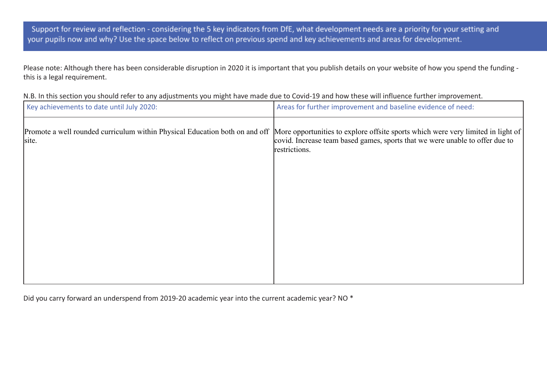Support for review and reflection - considering the 5 key indicators from DfE, what development needs are a priority for your setting and your pupils now and why? Use the space below to reflect on previous spend and key achievements and areas for development.

Please note: Although there has been considerable disruption in 2020 it is important that you publish details on your website of how you spend the funding this is a legal requirement.

| N.B. In this section you should refer to any adjustments you might have made due to Covid-19 and how these will influence further improvement. |  |
|------------------------------------------------------------------------------------------------------------------------------------------------|--|
|------------------------------------------------------------------------------------------------------------------------------------------------|--|

| Key achievements to date until July 2020: | Areas for further improvement and baseline evidence of need:                                                                                                                                                                                                  |
|-------------------------------------------|---------------------------------------------------------------------------------------------------------------------------------------------------------------------------------------------------------------------------------------------------------------|
| site.                                     | Promote a well rounded curriculum within Physical Education both on and off More opportunities to explore offsite sports which were very limited in light of<br>covid. Increase team based games, sports that we were unable to offer due to<br>restrictions. |
|                                           |                                                                                                                                                                                                                                                               |

Did you carry forward an underspend from 2019-20 academic year into the current academic year? NO \*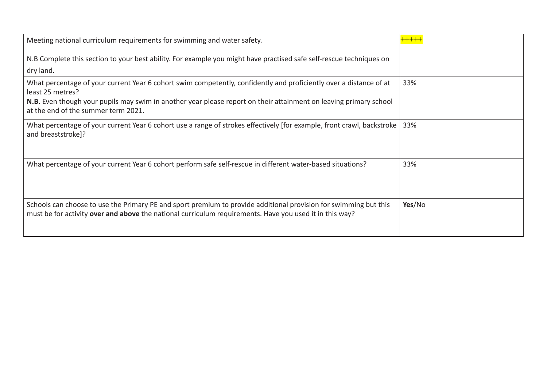| Meeting national curriculum requirements for swimming and water safety.                                                                                                                                                     |        |
|-----------------------------------------------------------------------------------------------------------------------------------------------------------------------------------------------------------------------------|--------|
| N.B Complete this section to your best ability. For example you might have practised safe self-rescue techniques on                                                                                                         |        |
| dry land.                                                                                                                                                                                                                   |        |
| What percentage of your current Year 6 cohort swim competently, confidently and proficiently over a distance of at<br>least 25 metres?                                                                                      | 33%    |
| <b>N.B.</b> Even though your pupils may swim in another year please report on their attainment on leaving primary school<br>at the end of the summer term 2021.                                                             |        |
| What percentage of your current Year 6 cohort use a range of strokes effectively [for example, front crawl, backstroke<br>and breaststroke]?                                                                                | 33%    |
| What percentage of your current Year 6 cohort perform safe self-rescue in different water-based situations?                                                                                                                 | 33%    |
| Schools can choose to use the Primary PE and sport premium to provide additional provision for swimming but this<br>must be for activity over and above the national curriculum requirements. Have you used it in this way? | Yes/No |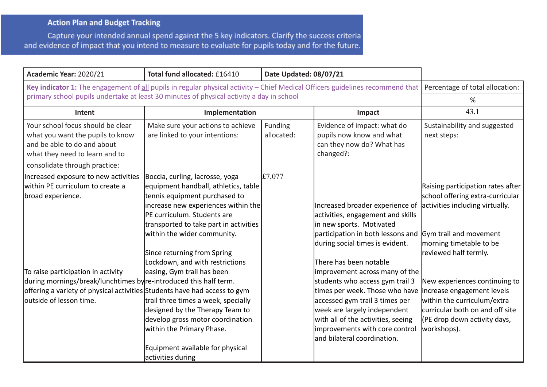## **Action Plan and Budget Tracking**

Capture your intended annual spend against the 5 key indicators. Clarify the success criteria and evidence of impact that you intend to measure to evaluate for pupils today and for the future.

| Academic Year: 2020/21                                                                                                                                                                                                                                                                                            | Total fund allocated: £16410                                                                                                                                                                                                                                                                                                                                                                                                                                                                                                                                | Date Updated: 08/07/21 |                                                                                                                                                                                                                                                                                                                                                                                                                                                                                    |                                                                                                                                                                                                                                                                                                                                                                        |
|-------------------------------------------------------------------------------------------------------------------------------------------------------------------------------------------------------------------------------------------------------------------------------------------------------------------|-------------------------------------------------------------------------------------------------------------------------------------------------------------------------------------------------------------------------------------------------------------------------------------------------------------------------------------------------------------------------------------------------------------------------------------------------------------------------------------------------------------------------------------------------------------|------------------------|------------------------------------------------------------------------------------------------------------------------------------------------------------------------------------------------------------------------------------------------------------------------------------------------------------------------------------------------------------------------------------------------------------------------------------------------------------------------------------|------------------------------------------------------------------------------------------------------------------------------------------------------------------------------------------------------------------------------------------------------------------------------------------------------------------------------------------------------------------------|
|                                                                                                                                                                                                                                                                                                                   | Key indicator 1: The engagement of all pupils in regular physical activity - Chief Medical Officers guidelines recommend that                                                                                                                                                                                                                                                                                                                                                                                                                               |                        |                                                                                                                                                                                                                                                                                                                                                                                                                                                                                    | Percentage of total allocation:                                                                                                                                                                                                                                                                                                                                        |
|                                                                                                                                                                                                                                                                                                                   | primary school pupils undertake at least 30 minutes of physical activity a day in school                                                                                                                                                                                                                                                                                                                                                                                                                                                                    |                        |                                                                                                                                                                                                                                                                                                                                                                                                                                                                                    | %                                                                                                                                                                                                                                                                                                                                                                      |
| Intent                                                                                                                                                                                                                                                                                                            | Implementation                                                                                                                                                                                                                                                                                                                                                                                                                                                                                                                                              |                        | Impact                                                                                                                                                                                                                                                                                                                                                                                                                                                                             | 43.1                                                                                                                                                                                                                                                                                                                                                                   |
| Your school focus should be clear<br>what you want the pupils to know<br>and be able to do and about<br>what they need to learn and to<br>consolidate through practice:                                                                                                                                           | Make sure your actions to achieve<br>are linked to your intentions:                                                                                                                                                                                                                                                                                                                                                                                                                                                                                         | Funding<br>allocated:  | Evidence of impact: what do<br>pupils now know and what<br>can they now do? What has<br>changed?:                                                                                                                                                                                                                                                                                                                                                                                  | Sustainability and suggested<br>next steps:                                                                                                                                                                                                                                                                                                                            |
| Increased exposure to new activities<br>within PE curriculum to create a<br>broad experience.<br>To raise participation in activity<br>during mornings/break/lunchtimes by re-introduced this half term.<br>offering a variety of physical activities Students have had access to gym<br>loutside of lesson time. | Boccia, curling, lacrosse, yoga<br>equipment handball, athletics, table<br>tennis equipment purchased to<br>increase new experiences within the<br>PE curriculum. Students are<br>transported to take part in activities<br>within the wider community.<br>Since returning from Spring<br>Lockdown, and with restrictions<br>easing, Gym trail has been<br>trail three times a week, specially<br>designed by the Therapy Team to<br>develop gross motor coordination<br>within the Primary Phase.<br>Equipment available for physical<br>activities during | $\pounds7,077$         | Increased broader experience of<br>activities, engagement and skills<br>in new sports. Motivated<br>participation in both lessons and<br>during social times is evident.<br>There has been notable<br>improvement across many of the<br>students who access gym trail 3<br>times per week. Those who have<br>accessed gym trail 3 times per<br>week are largely independent<br>with all of the activities, seeing<br>improvements with core control<br>and bilateral coordination. | Raising participation rates after<br>school offering extra-curricular<br>activities including virtually.<br>Gym trail and movement<br>morning timetable to be<br>reviewed half termly.<br>New experiences continuing to<br>increase engagement levels<br>within the curriculum/extra<br>curricular both on and off site<br>(PE drop down activity days,<br>workshops). |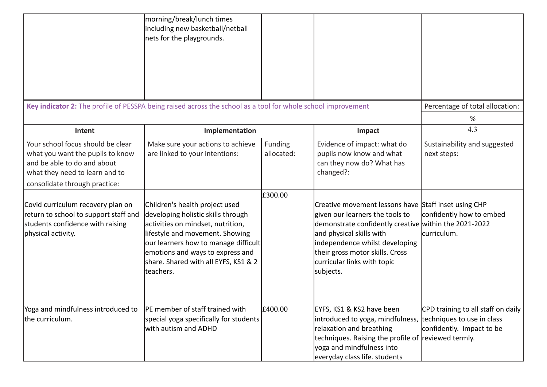|                                                                                                                                                                         | morning/break/lunch times<br>including new basketball/netball<br>nets for the playgrounds.                                                                                                                                                                                     |                       |                                                                                                                                                                                                                                                                                               |                                                                 |
|-------------------------------------------------------------------------------------------------------------------------------------------------------------------------|--------------------------------------------------------------------------------------------------------------------------------------------------------------------------------------------------------------------------------------------------------------------------------|-----------------------|-----------------------------------------------------------------------------------------------------------------------------------------------------------------------------------------------------------------------------------------------------------------------------------------------|-----------------------------------------------------------------|
|                                                                                                                                                                         | Key indicator 2: The profile of PESSPA being raised across the school as a tool for whole school improvement                                                                                                                                                                   |                       |                                                                                                                                                                                                                                                                                               | Percentage of total allocation:                                 |
|                                                                                                                                                                         |                                                                                                                                                                                                                                                                                |                       |                                                                                                                                                                                                                                                                                               | %                                                               |
| Intent                                                                                                                                                                  | Implementation                                                                                                                                                                                                                                                                 |                       | Impact                                                                                                                                                                                                                                                                                        | 4.3                                                             |
| Your school focus should be clear<br>what you want the pupils to know<br>and be able to do and about<br>what they need to learn and to<br>consolidate through practice: | Make sure your actions to achieve<br>are linked to your intentions:                                                                                                                                                                                                            | Funding<br>allocated: | Evidence of impact: what do<br>pupils now know and what<br>can they now do? What has<br>changed?:                                                                                                                                                                                             | Sustainability and suggested<br>next steps:                     |
|                                                                                                                                                                         |                                                                                                                                                                                                                                                                                | E300.00               |                                                                                                                                                                                                                                                                                               |                                                                 |
| Covid curriculum recovery plan on<br>return to school to support staff and<br>students confidence with raising<br>physical activity.                                    | Children's health project used<br>developing holistic skills through<br>activities on mindset, nutrition,<br>lifestyle and movement. Showing<br>our learners how to manage difficult<br>emotions and ways to express and<br>share. Shared with all EYFS, KS1 & 2<br>lteachers. |                       | Creative movement lessons have Staff inset using CHP<br>given our learners the tools to<br>demonstrate confidently creative within the 2021-2022<br>and physical skills with<br>independence whilst developing<br>their gross motor skills. Cross<br>curricular links with topic<br>subjects. | confidently how to embed<br>curriculum.                         |
| Yoga and mindfulness introduced to<br>the curriculum.                                                                                                                   | <b>PE</b> member of staff trained with<br>special yoga specifically for students<br>with autism and ADHD                                                                                                                                                                       | £400.00               | EYFS, KS1 & KS2 have been<br>introduced to yoga, mindfulness, techniques to use in class<br>relaxation and breathing<br>techniques. Raising the profile of reviewed termly.<br>yoga and mindfulness into<br>everyday class life. students                                                     | CPD training to all staff on daily<br>confidently. Impact to be |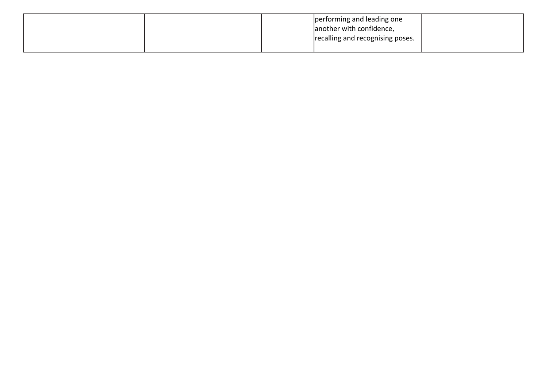|  | performing and leading one       |  |
|--|----------------------------------|--|
|  | another with confidence,         |  |
|  | recalling and recognising poses. |  |
|  |                                  |  |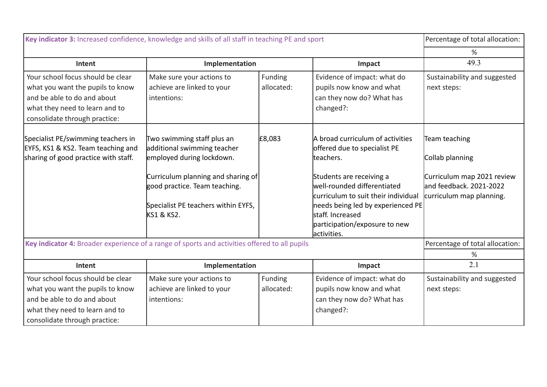| Key indicator 3: Increased confidence, knowledge and skills of all staff in teaching PE and sport                                                                       |                                                                                                                                                                                                                               |                       | Percentage of total allocation:                                                                                                                                                                                                                                                          |                                                                                                                        |
|-------------------------------------------------------------------------------------------------------------------------------------------------------------------------|-------------------------------------------------------------------------------------------------------------------------------------------------------------------------------------------------------------------------------|-----------------------|------------------------------------------------------------------------------------------------------------------------------------------------------------------------------------------------------------------------------------------------------------------------------------------|------------------------------------------------------------------------------------------------------------------------|
|                                                                                                                                                                         |                                                                                                                                                                                                                               |                       |                                                                                                                                                                                                                                                                                          | %                                                                                                                      |
| Intent                                                                                                                                                                  | Implementation                                                                                                                                                                                                                |                       | Impact                                                                                                                                                                                                                                                                                   | 49.3                                                                                                                   |
| Your school focus should be clear<br>what you want the pupils to know<br>and be able to do and about<br>what they need to learn and to<br>consolidate through practice: | Make sure your actions to<br>achieve are linked to your<br>intentions:                                                                                                                                                        | Funding<br>allocated: | Evidence of impact: what do<br>pupils now know and what<br>can they now do? What has<br>changed?:                                                                                                                                                                                        | Sustainability and suggested<br>next steps:                                                                            |
| Specialist PE/swimming teachers in<br>EYFS, KS1 & KS2. Team teaching and<br>sharing of good practice with staff.                                                        | Two swimming staff plus an<br>additional swimming teacher<br>employed during lockdown.<br>Curriculum planning and sharing of<br>good practice. Team teaching.<br>Specialist PE teachers within EYFS,<br><b>KS1 &amp; KS2.</b> | £8,083                | A broad curriculum of activities<br>offered due to specialist PE<br>teachers.<br>Students are receiving a<br>well-rounded differentiated<br>curriculum to suit their individual<br>needs being led by experienced PE<br>staff. Increased<br>participation/exposure to new<br>activities. | Team teaching<br>Collab planning<br>Curriculum map 2021 review<br>land feedback. 2021-2022<br>curriculum map planning. |
| Key indicator 4: Broader experience of a range of sports and activities offered to all pupils                                                                           |                                                                                                                                                                                                                               |                       |                                                                                                                                                                                                                                                                                          | Percentage of total allocation:                                                                                        |
| Intent                                                                                                                                                                  | Implementation                                                                                                                                                                                                                |                       | Impact                                                                                                                                                                                                                                                                                   | %<br>2.1                                                                                                               |
| Your school focus should be clear<br>what you want the pupils to know<br>and be able to do and about<br>what they need to learn and to<br>consolidate through practice: | Make sure your actions to<br>achieve are linked to your<br>intentions:                                                                                                                                                        | Funding<br>allocated: | Evidence of impact: what do<br>pupils now know and what<br>can they now do? What has<br>changed?:                                                                                                                                                                                        | Sustainability and suggested<br>next steps:                                                                            |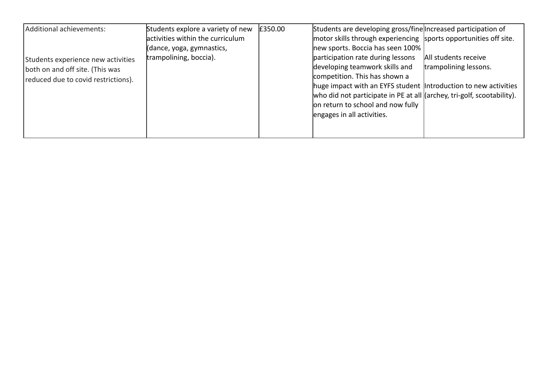| Additional achievements:            | Students explore a variety of new | £350.00 | Students are developing gross/fine Increased participation of          |                       |
|-------------------------------------|-----------------------------------|---------|------------------------------------------------------------------------|-----------------------|
|                                     | activities within the curriculum  |         | motor skills through experiencing sports opportunities off site.       |                       |
|                                     | (dance, yoga, gymnastics,         |         | new sports. Boccia has seen 100%                                       |                       |
| Students experience new activities  | trampolining, boccia).            |         | participation rate during lessons                                      | All students receive  |
| both on and off site. (This was     |                                   |         | developing teamwork skills and                                         | trampolining lessons. |
| reduced due to covid restrictions). |                                   |         | competition. This has shown a                                          |                       |
|                                     |                                   |         | huge impact with an EYFS student Introduction to new activities        |                       |
|                                     |                                   |         | who did not participate in PE at all (archey, tri-golf, scootability). |                       |
|                                     |                                   |         | on return to school and now fully                                      |                       |
|                                     |                                   |         | engages in all activities.                                             |                       |
|                                     |                                   |         |                                                                        |                       |
|                                     |                                   |         |                                                                        |                       |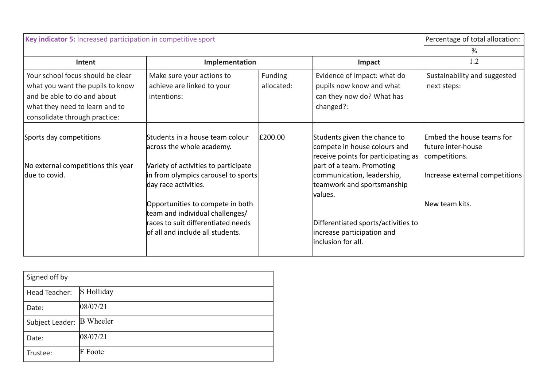| Key indicator 5: Increased participation in competitive sport                                                                                                           |                                                                                                                                                |                       |                                                                                                     | Percentage of total allocation:                                   |
|-------------------------------------------------------------------------------------------------------------------------------------------------------------------------|------------------------------------------------------------------------------------------------------------------------------------------------|-----------------------|-----------------------------------------------------------------------------------------------------|-------------------------------------------------------------------|
|                                                                                                                                                                         |                                                                                                                                                |                       |                                                                                                     | %                                                                 |
| Intent                                                                                                                                                                  | Implementation                                                                                                                                 |                       | Impact                                                                                              | 1.2                                                               |
| Your school focus should be clear<br>what you want the pupils to know<br>and be able to do and about<br>what they need to learn and to<br>consolidate through practice: | Make sure your actions to<br>achieve are linked to your<br>intentions:                                                                         | Funding<br>allocated: | Evidence of impact: what do<br>pupils now know and what<br>can they now do? What has<br>changed?:   | Sustainability and suggested<br>next steps:                       |
| Sports day competitions                                                                                                                                                 | Students in a house team colour<br>across the whole academy.                                                                                   | £200.00               | Students given the chance to<br>compete in house colours and<br>receive points for participating as | Embed the house teams for<br>lfuture inter-house<br>competitions. |
| No external competitions this year<br>due to covid.                                                                                                                     | Variety of activities to participate<br>in from olympics carousel to sports<br>day race activities.                                            |                       | part of a team. Promoting<br>communication, leadership,<br>teamwork and sportsmanship<br>lvalues.   | Increase external competitions                                    |
|                                                                                                                                                                         | Opportunities to compete in both<br>team and individual challenges/<br>races to suit differentiated needs<br>lof all and include all students. |                       | Differentiated sports/activities to<br>increase participation and<br>inclusion for all.             | New team kits.                                                    |

| Signed off by             |            |
|---------------------------|------------|
| Head Teacher:             | S Holliday |
| Date:                     | 08/07/21   |
| Subject Leader: B Wheeler |            |
| Date:                     | 08/07/21   |
| Trustee:                  | F Foote    |